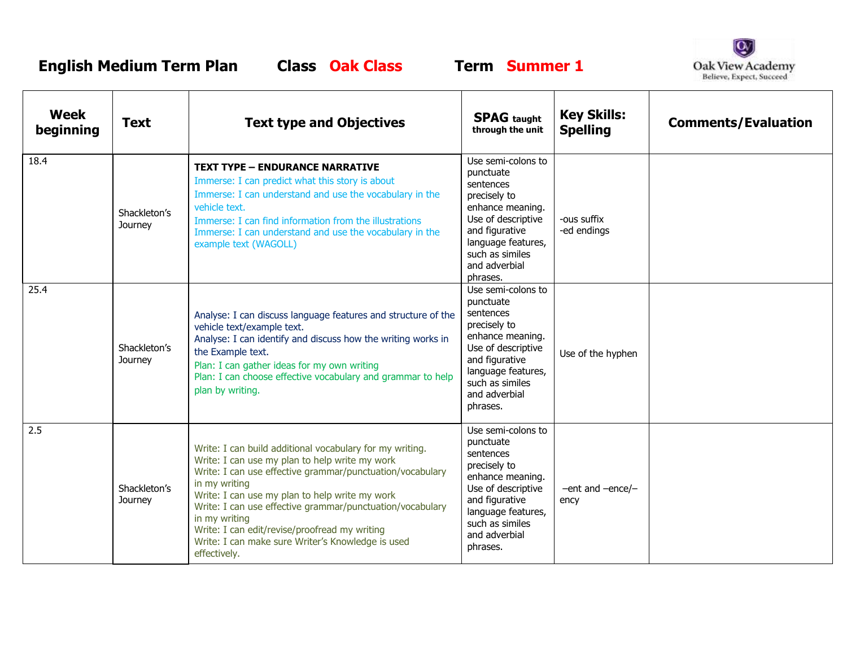**English Medium Term Plan Class Oak Class Term Summer 1**

 $\Gamma$ 



| Week<br>beginning | <b>Text</b>             | <b>Text type and Objectives</b>                                                                                                                                                                                                                                                                                                                                                                                                                | <b>SPAG</b> taught<br>through the unit                                                                                                                                                         | <b>Key Skills:</b><br><b>Spelling</b> | <b>Comments/Evaluation</b> |
|-------------------|-------------------------|------------------------------------------------------------------------------------------------------------------------------------------------------------------------------------------------------------------------------------------------------------------------------------------------------------------------------------------------------------------------------------------------------------------------------------------------|------------------------------------------------------------------------------------------------------------------------------------------------------------------------------------------------|---------------------------------------|----------------------------|
| 18.4              | Shackleton's<br>Journey | <b>TEXT TYPE - ENDURANCE NARRATIVE</b><br>Immerse: I can predict what this story is about<br>Immerse: I can understand and use the vocabulary in the<br>vehicle text.<br>Immerse: I can find information from the illustrations<br>Immerse: I can understand and use the vocabulary in the<br>example text (WAGOLL)                                                                                                                            | Use semi-colons to<br>punctuate<br>sentences<br>precisely to<br>enhance meaning.<br>Use of descriptive<br>and figurative<br>language features,<br>such as similes<br>and adverbial<br>phrases. | -ous suffix<br>-ed endings            |                            |
| 25.4              | Shackleton's<br>Journey | Analyse: I can discuss language features and structure of the<br>vehicle text/example text.<br>Analyse: I can identify and discuss how the writing works in<br>the Example text.<br>Plan: I can gather ideas for my own writing<br>Plan: I can choose effective vocabulary and grammar to help<br>plan by writing.                                                                                                                             | Use semi-colons to<br>punctuate<br>sentences<br>precisely to<br>enhance meaning.<br>Use of descriptive<br>and figurative<br>language features,<br>such as similes<br>and adverbial<br>phrases. | Use of the hyphen                     |                            |
| 2.5               | Shackleton's<br>Journey | Write: I can build additional vocabulary for my writing.<br>Write: I can use my plan to help write my work<br>Write: I can use effective grammar/punctuation/vocabulary<br>in my writing<br>Write: I can use my plan to help write my work<br>Write: I can use effective grammar/punctuation/vocabulary<br>in my writing<br>Write: I can edit/revise/proofread my writing<br>Write: I can make sure Writer's Knowledge is used<br>effectively. | Use semi-colons to<br>punctuate<br>sentences<br>precisely to<br>enhance meaning.<br>Use of descriptive<br>and figurative<br>language features,<br>such as similes<br>and adverbial<br>phrases. | $-$ ent and $-$ ence/ $-$<br>ency     |                            |